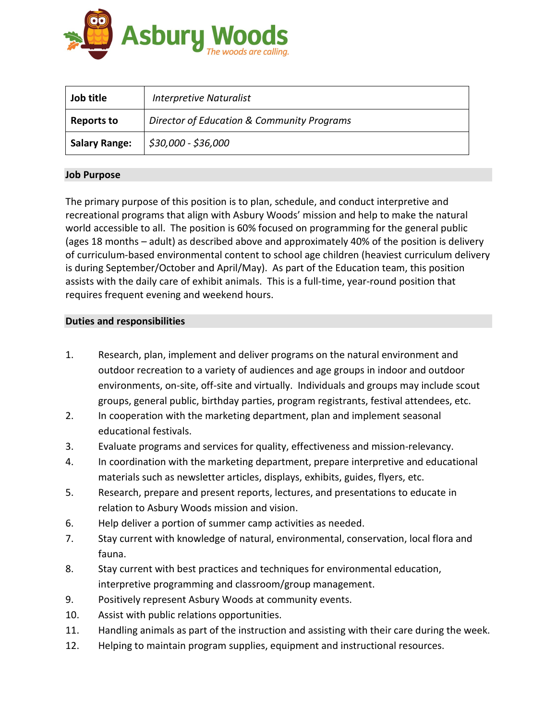

| Job title            | Interpretive Naturalist                    |
|----------------------|--------------------------------------------|
| <b>Reports to</b>    | Director of Education & Community Programs |
| <b>Salary Range:</b> | \$30,000 - \$36,000                        |

# **Job Purpose**

The primary purpose of this position is to plan, schedule, and conduct interpretive and recreational programs that align with Asbury Woods' mission and help to make the natural world accessible to all. The position is 60% focused on programming for the general public (ages 18 months – adult) as described above and approximately 40% of the position is delivery of curriculum-based environmental content to school age children (heaviest curriculum delivery is during September/October and April/May). As part of the Education team, this position assists with the daily care of exhibit animals. This is a full-time, year-round position that requires frequent evening and weekend hours.

#### **Duties and responsibilities**

- 1. Research, plan, implement and deliver programs on the natural environment and outdoor recreation to a variety of audiences and age groups in indoor and outdoor environments, on-site, off-site and virtually. Individuals and groups may include scout groups, general public, birthday parties, program registrants, festival attendees, etc.
- 2. In cooperation with the marketing department, plan and implement seasonal educational festivals.
- 3. Evaluate programs and services for quality, effectiveness and mission-relevancy.
- 4. In coordination with the marketing department, prepare interpretive and educational materials such as newsletter articles, displays, exhibits, guides, flyers, etc.
- 5. Research, prepare and present reports, lectures, and presentations to educate in relation to Asbury Woods mission and vision.
- 6. Help deliver a portion of summer camp activities as needed.
- 7. Stay current with knowledge of natural, environmental, conservation, local flora and fauna.
- 8. Stay current with best practices and techniques for environmental education, interpretive programming and classroom/group management.
- 9. Positively represent Asbury Woods at community events.
- 10. Assist with public relations opportunities.
- 11. Handling animals as part of the instruction and assisting with their care during the week.
- 12. Helping to maintain program supplies, equipment and instructional resources.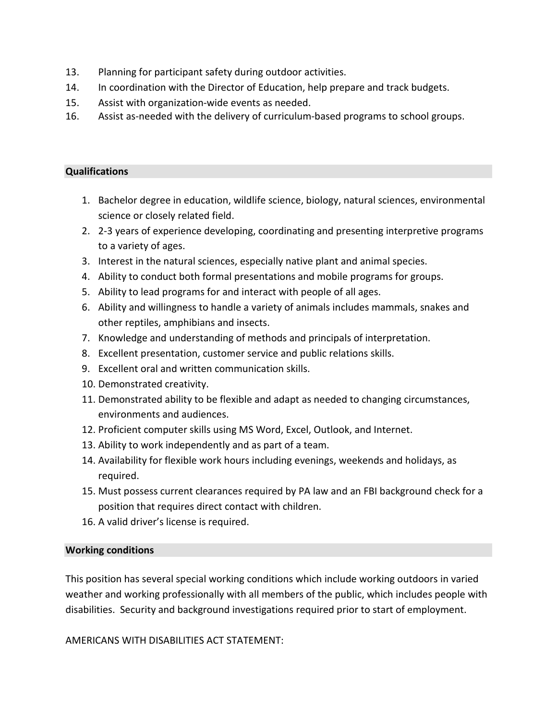- 13. Planning for participant safety during outdoor activities.
- 14. In coordination with the Director of Education, help prepare and track budgets.
- 15. Assist with organization-wide events as needed.
- 16. Assist as-needed with the delivery of curriculum-based programs to school groups.

# **Qualifications**

- 1. Bachelor degree in education, wildlife science, biology, natural sciences, environmental science or closely related field.
- 2. 2-3 years of experience developing, coordinating and presenting interpretive programs to a variety of ages.
- 3. Interest in the natural sciences, especially native plant and animal species.
- 4. Ability to conduct both formal presentations and mobile programs for groups.
- 5. Ability to lead programs for and interact with people of all ages.
- 6. Ability and willingness to handle a variety of animals includes mammals, snakes and other reptiles, amphibians and insects.
- 7. Knowledge and understanding of methods and principals of interpretation.
- 8. Excellent presentation, customer service and public relations skills.
- 9. Excellent oral and written communication skills.
- 10. Demonstrated creativity.
- 11. Demonstrated ability to be flexible and adapt as needed to changing circumstances, environments and audiences.
- 12. Proficient computer skills using MS Word, Excel, Outlook, and Internet.
- 13. Ability to work independently and as part of a team.
- 14. Availability for flexible work hours including evenings, weekends and holidays, as required.
- 15. Must possess current clearances required by PA law and an FBI background check for a position that requires direct contact with children.
- 16. A valid driver's license is required.

# **Working conditions**

This position has several special working conditions which include working outdoors in varied weather and working professionally with all members of the public, which includes people with disabilities. Security and background investigations required prior to start of employment.

AMERICANS WITH DISABILITIES ACT STATEMENT: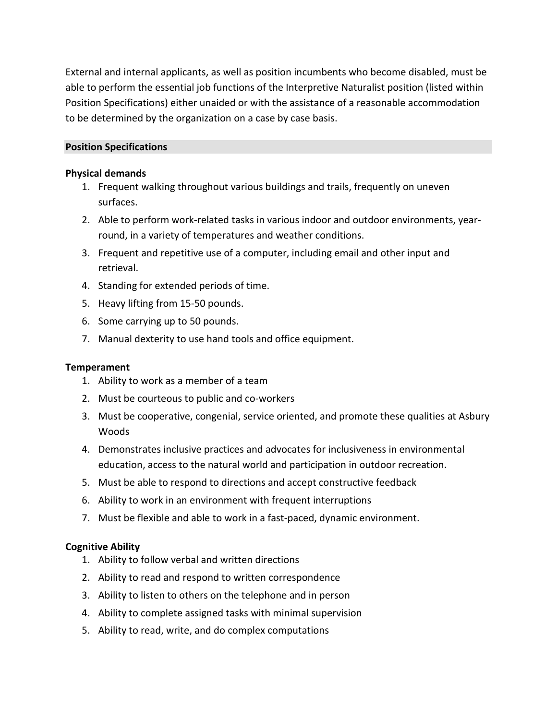External and internal applicants, as well as position incumbents who become disabled, must be able to perform the essential job functions of the Interpretive Naturalist position (listed within Position Specifications) either unaided or with the assistance of a reasonable accommodation to be determined by the organization on a case by case basis.

## **Position Specifications**

## **Physical demands**

- 1. Frequent walking throughout various buildings and trails, frequently on uneven surfaces.
- 2. Able to perform work-related tasks in various indoor and outdoor environments, yearround, in a variety of temperatures and weather conditions.
- 3. Frequent and repetitive use of a computer, including email and other input and retrieval.
- 4. Standing for extended periods of time.
- 5. Heavy lifting from 15-50 pounds.
- 6. Some carrying up to 50 pounds.
- 7. Manual dexterity to use hand tools and office equipment.

## **Temperament**

- 1. Ability to work as a member of a team
- 2. Must be courteous to public and co-workers
- 3. Must be cooperative, congenial, service oriented, and promote these qualities at Asbury Woods
- 4. Demonstrates inclusive practices and advocates for inclusiveness in environmental education, access to the natural world and participation in outdoor recreation.
- 5. Must be able to respond to directions and accept constructive feedback
- 6. Ability to work in an environment with frequent interruptions
- 7. Must be flexible and able to work in a fast-paced, dynamic environment.

## **Cognitive Ability**

- 1. Ability to follow verbal and written directions
- 2. Ability to read and respond to written correspondence
- 3. Ability to listen to others on the telephone and in person
- 4. Ability to complete assigned tasks with minimal supervision
- 5. Ability to read, write, and do complex computations